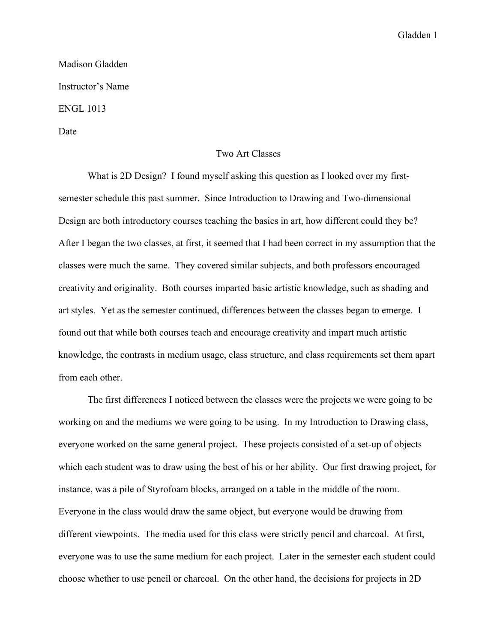## Gladden 1

## Madison Gladden Instructor's Name ENGL 1013

Date

## Two Art Classes

What is 2D Design? I found myself asking this question as I looked over my firstsemester schedule this past summer. Since Introduction to Drawing and Two-dimensional Design are both introductory courses teaching the basics in art, how different could they be? After I began the two classes, at first, it seemed that I had been correct in my assumption that the classes were much the same. They covered similar subjects, and both professors encouraged creativity and originality. Both courses imparted basic artistic knowledge, such as shading and art styles. Yet as the semester continued, differences between the classes began to emerge. I found out that while both courses teach and encourage creativity and impart much artistic knowledge, the contrasts in medium usage, class structure, and class requirements set them apart from each other.

The first differences I noticed between the classes were the projects we were going to be working on and the mediums we were going to be using. In my Introduction to Drawing class, everyone worked on the same general project. These projects consisted of a set-up of objects which each student was to draw using the best of his or her ability. Our first drawing project, for instance, was a pile of Styrofoam blocks, arranged on a table in the middle of the room. Everyone in the class would draw the same object, but everyone would be drawing from different viewpoints. The media used for this class were strictly pencil and charcoal. At first, everyone was to use the same medium for each project. Later in the semester each student could choose whether to use pencil or charcoal. On the other hand, the decisions for projects in 2D